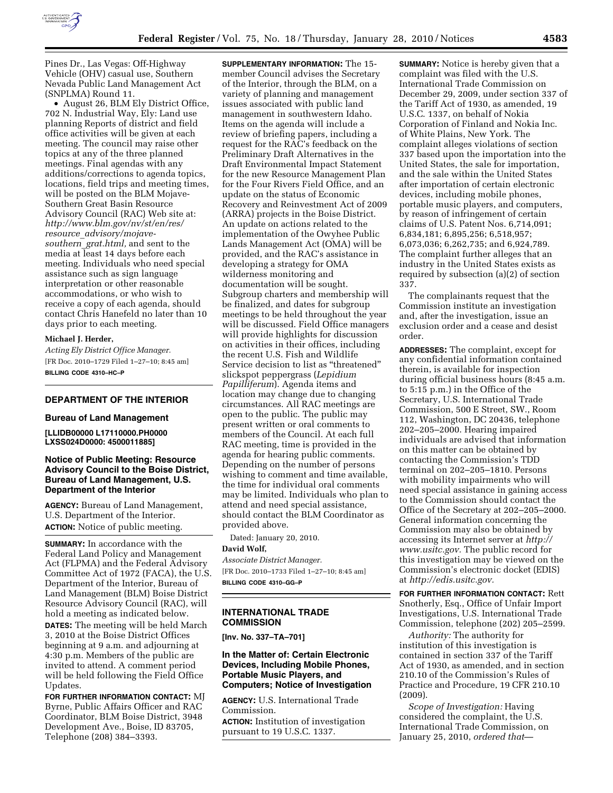

Pines Dr., Las Vegas: Off-Highway Vehicle (OHV) casual use, Southern Nevada Public Land Management Act (SNPLMA) Round 11.

• August 26, BLM Ely District Office, 702 N. Industrial Way, Ely: Land use planning Reports of district and field office activities will be given at each meeting. The council may raise other topics at any of the three planned meetings. Final agendas with any additions/corrections to agenda topics, locations, field trips and meeting times, will be posted on the BLM Mojave-Southern Great Basin Resource Advisory Council (RAC) Web site at: *http://www.blm.gov/nv/st/en/res/ resource*\_*advisory/mojavesouthern*\_*grat.html,* and sent to the media at least 14 days before each meeting. Individuals who need special assistance such as sign language interpretation or other reasonable accommodations, or who wish to receive a copy of each agenda, should contact Chris Hanefeld no later than 10 days prior to each meeting.

#### **Michael J. Herder,**

*Acting Ely District Office Manager.*  [FR Doc. 2010–1729 Filed 1–27–10; 8:45 am] **BILLING CODE 4310–HC–P** 

# **DEPARTMENT OF THE INTERIOR**

### **Bureau of Land Management**

**[LLIDB00000 L17110000.PH0000 LXSS024D0000: 4500011885]** 

## **Notice of Public Meeting: Resource Advisory Council to the Boise District, Bureau of Land Management, U.S. Department of the Interior**

**AGENCY:** Bureau of Land Management, U.S. Department of the Interior. **ACTION:** Notice of public meeting.

**SUMMARY:** In accordance with the Federal Land Policy and Management Act (FLPMA) and the Federal Advisory Committee Act of 1972 (FACA), the U.S. Department of the Interior, Bureau of Land Management (BLM) Boise District Resource Advisory Council (RAC), will hold a meeting as indicated below.

**DATES:** The meeting will be held March 3, 2010 at the Boise District Offices beginning at 9 a.m. and adjourning at 4:30 p.m. Members of the public are invited to attend. A comment period will be held following the Field Office Updates.

**FOR FURTHER INFORMATION CONTACT:** MJ Byrne, Public Affairs Officer and RAC Coordinator, BLM Boise District, 3948 Development Ave., Boise, ID 83705, Telephone (208) 384–3393.

**SUPPLEMENTARY INFORMATION:** The 15 member Council advises the Secretary of the Interior, through the BLM, on a variety of planning and management issues associated with public land management in southwestern Idaho. Items on the agenda will include a review of briefing papers, including a request for the RAC's feedback on the Preliminary Draft Alternatives in the Draft Environmental Impact Statement for the new Resource Management Plan for the Four Rivers Field Office, and an update on the status of Economic Recovery and Reinvestment Act of 2009 (ARRA) projects in the Boise District. An update on actions related to the implementation of the Owyhee Public Lands Management Act (OMA) will be provided, and the RAC's assistance in developing a strategy for OMA wilderness monitoring and documentation will be sought. Subgroup charters and membership will be finalized, and dates for subgroup meetings to be held throughout the year will be discussed. Field Office managers will provide highlights for discussion on activities in their offices, including the recent U.S. Fish and Wildlife Service decision to list as ''threatened'' slickspot peppergrass (*Lepidium Papilliferum*). Agenda items and location may change due to changing circumstances. All RAC meetings are open to the public. The public may present written or oral comments to members of the Council. At each full RAC meeting, time is provided in the agenda for hearing public comments. Depending on the number of persons wishing to comment and time available, the time for individual oral comments may be limited. Individuals who plan to attend and need special assistance, should contact the BLM Coordinator as provided above.

Dated: January 20, 2010.

#### **David Wolf,**

*Associate District Manager.*  [FR Doc. 2010–1733 Filed 1–27–10; 8:45 am] **BILLING CODE 4310–GG–P** 

### **INTERNATIONAL TRADE COMMISSION**

**[Inv. No. 337–TA–701]** 

## **In the Matter of: Certain Electronic Devices, Including Mobile Phones, Portable Music Players, and Computers; Notice of Investigation**

**AGENCY:** U.S. International Trade Commission.

**ACTION:** Institution of investigation pursuant to 19 U.S.C. 1337.

**SUMMARY:** Notice is hereby given that a complaint was filed with the U.S. International Trade Commission on December 29, 2009, under section 337 of the Tariff Act of 1930, as amended, 19 U.S.C. 1337, on behalf of Nokia Corporation of Finland and Nokia Inc. of White Plains, New York. The complaint alleges violations of section 337 based upon the importation into the United States, the sale for importation, and the sale within the United States after importation of certain electronic devices, including mobile phones, portable music players, and computers, by reason of infringement of certain claims of U.S. Patent Nos. 6,714,091; 6,834,181; 6,895,256; 6,518,957; 6,073,036; 6,262,735; and 6,924,789. The complaint further alleges that an industry in the United States exists as required by subsection (a)(2) of section 337.

The complainants request that the Commission institute an investigation and, after the investigation, issue an exclusion order and a cease and desist order.

**ADDRESSES:** The complaint, except for any confidential information contained therein, is available for inspection during official business hours (8:45 a.m. to 5:15 p.m.) in the Office of the Secretary, U.S. International Trade Commission, 500 E Street, SW., Room 112, Washington, DC 20436, telephone 202–205–2000. Hearing impaired individuals are advised that information on this matter can be obtained by contacting the Commission's TDD terminal on 202–205–1810. Persons with mobility impairments who will need special assistance in gaining access to the Commission should contact the Office of the Secretary at 202–205–2000. General information concerning the Commission may also be obtained by accessing its Internet server at *http:// www.usitc.gov.* The public record for this investigation may be viewed on the Commission's electronic docket (EDIS) at *http://edis.usitc.gov.* 

**FOR FURTHER INFORMATION CONTACT:** Rett Snotherly, Esq., Office of Unfair Import Investigations, U.S. International Trade Commission, telephone (202) 205–2599.

*Authority:* The authority for institution of this investigation is contained in section 337 of the Tariff Act of 1930, as amended, and in section 210.10 of the Commission's Rules of Practice and Procedure, 19 CFR 210.10 (2009).

*Scope of Investigation:* Having considered the complaint, the U.S. International Trade Commission, on January 25, 2010, *ordered that*—